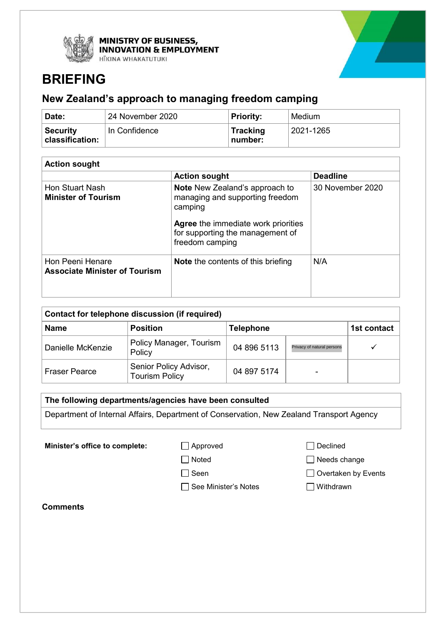



# **BRIEFING**

# **New Zealand's approach to managing freedom camping**

| ∣ Date:                              | 24 November 2020 | <b>Priority:</b>           | Medium    |
|--------------------------------------|------------------|----------------------------|-----------|
| <b>Security</b><br>  classification: | In Confidence    | <b>Tracking</b><br>number: | 2021-1265 |

| <b>Action sought</b>                                     |                                                                                                   |                  |  |  |  |
|----------------------------------------------------------|---------------------------------------------------------------------------------------------------|------------------|--|--|--|
|                                                          | <b>Action sought</b>                                                                              | <b>Deadline</b>  |  |  |  |
| Hon Stuart Nash<br><b>Minister of Tourism</b>            | <b>Note</b> New Zealand's approach to<br>managing and supporting freedom<br>camping               | 30 November 2020 |  |  |  |
|                                                          | <b>Agree</b> the immediate work priorities<br>for supporting the management of<br>freedom camping |                  |  |  |  |
| Hon Peeni Henare<br><b>Associate Minister of Tourism</b> | <b>Note</b> the contents of this briefing                                                         | N/A              |  |  |  |

| Contact for telephone discussion (if required) |                                                 |                  |                            |             |  |  |  |
|------------------------------------------------|-------------------------------------------------|------------------|----------------------------|-------------|--|--|--|
| <b>Name</b>                                    | <b>Position</b>                                 | <b>Telephone</b> |                            | 1st contact |  |  |  |
| Danielle McKenzie                              | Policy Manager, Tourism<br>Policy               | 04 896 5113      | Privacy of natural persons |             |  |  |  |
| <b>Fraser Pearce</b>                           | Senior Policy Advisor,<br><b>Tourism Policy</b> | 04 897 5174      |                            |             |  |  |  |

# **The following departments/agencies have been consulted**

Department of Internal Affairs, Department of Conservation, New Zealand Transport Agency

**Minister's office to complete:** △ Approved △ Declined

□ See Minister's Notes I Withdrawn

□ Noted Needs change

Seen Overtaken by Events

**Comments**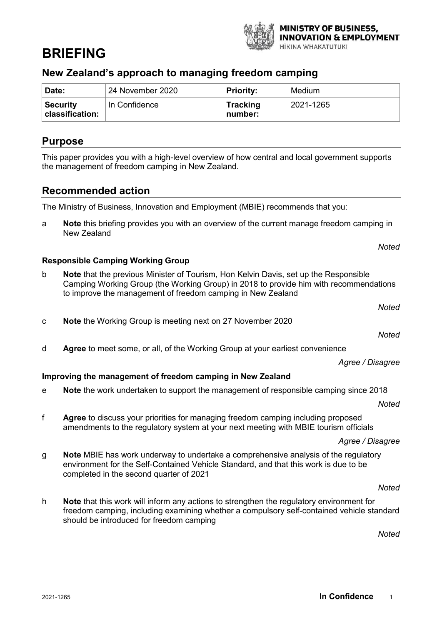# **BRIEFING**

# **New Zealand's approach to managing freedom camping**

| Date:                              | 24 November 2020 | <b>Priority:</b>           | Medium    |
|------------------------------------|------------------|----------------------------|-----------|
| <b>Security</b><br>classification: | In Confidence    | <b>Tracking</b><br>number: | 2021-1265 |

# **Purpose**

This paper provides you with a high-level overview of how central and local government supports the management of freedom camping in New Zealand.

# **Recommended action**

The Ministry of Business, Innovation and Employment (MBIE) recommends that you:

a **Note** this briefing provides you with an overview of the current manage freedom camping in New Zealand

# **Responsible Camping Working Group**

- b **Note** that the previous Minister of Tourism, Hon Kelvin Davis, set up the Responsible Camping Working Group (the Working Group) in 2018 to provide him with recommendations to improve the management of freedom camping in New Zealand
	- *Noted*

*Noted*

- *Noted*
- d **Agree** to meet some, or all, of the Working Group at your earliest convenience

*Agree / Disagree*

# **Improving the management of freedom camping in New Zealand**

c **Note** the Working Group is meeting next on 27 November 2020

e **Note** the work undertaken to support the management of responsible camping since 2018

*Noted*

f **Agree** to discuss your priorities for managing freedom camping including proposed amendments to the regulatory system at your next meeting with MBIE tourism officials

*Agree / Disagree*

g **Note** MBIE has work underway to undertake a comprehensive analysis of the regulatory environment for the Self-Contained Vehicle Standard, and that this work is due to be completed in the second quarter of 2021

*Noted*

h **Note** that this work will inform any actions to strengthen the regulatory environment for freedom camping, including examining whether a compulsory self-contained vehicle standard should be introduced for freedom camping

*Noted*

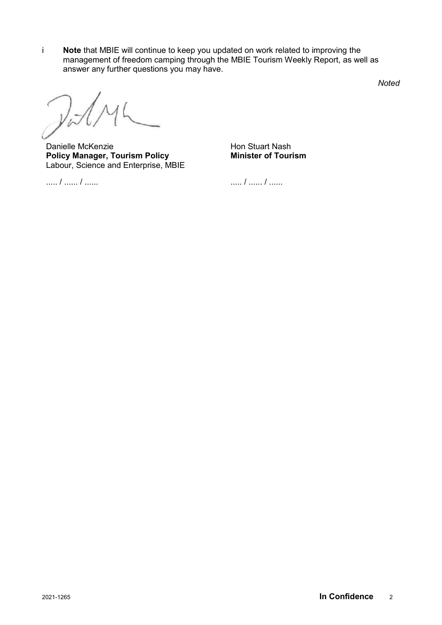i **Note** that MBIE will continue to keep you updated on work related to improving the management of freedom camping through the MBIE Tourism Weekly Report, as well as answer any further questions you may have.

*Noted*

 $y_{\tilde{\nu}}$ 

Danielle McKenzie **Policy Manager, Tourism Policy**  Labour, Science and Enterprise, MBIE

Hon Stuart Nash **Minister of Tourism**

..... / ...... / ......

..... / ...... / ......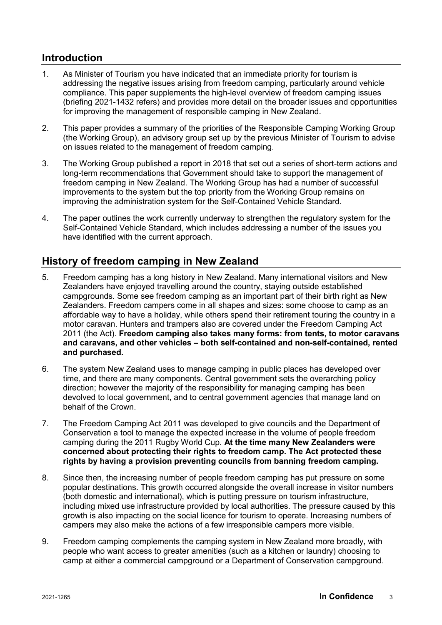# **Introduction**

- 1. As Minister of Tourism you have indicated that an immediate priority for tourism is addressing the negative issues arising from freedom camping, particularly around vehicle compliance. This paper supplements the high-level overview of freedom camping issues (briefing 2021-1432 refers) and provides more detail on the broader issues and opportunities for improving the management of responsible camping in New Zealand.
- 2. This paper provides a summary of the priorities of the Responsible Camping Working Group (the Working Group), an advisory group set up by the previous Minister of Tourism to advise on issues related to the management of freedom camping.
- 3. The Working Group published a report in 2018 that set out a series of short-term actions and long-term recommendations that Government should take to support the management of freedom camping in New Zealand. The Working Group has had a number of successful improvements to the system but the top priority from the Working Group remains on improving the administration system for the Self-Contained Vehicle Standard.
- 4. The paper outlines the work currently underway to strengthen the regulatory system for the Self-Contained Vehicle Standard, which includes addressing a number of the issues you have identified with the current approach.

# **History of freedom camping in New Zealand**

- 5. Freedom camping has a long history in New Zealand. Many international visitors and New Zealanders have enjoyed travelling around the country, staying outside established campgrounds. Some see freedom camping as an important part of their birth right as New Zealanders. Freedom campers come in all shapes and sizes: some choose to camp as an affordable way to have a holiday, while others spend their retirement touring the country in a motor caravan. Hunters and trampers also are covered under the Freedom Camping Act 2011 (the Act). **Freedom camping also takes many forms: from tents, to motor caravans and caravans, and other vehicles – both self-contained and non-self-contained, rented and purchased.**
- 6. The system New Zealand uses to manage camping in public places has developed over time, and there are many components. Central government sets the overarching policy direction; however the majority of the responsibility for managing camping has been devolved to local government, and to central government agencies that manage land on behalf of the Crown.
- 7. The Freedom Camping Act 2011 was developed to give councils and the Department of Conservation a tool to manage the expected increase in the volume of people freedom camping during the 2011 Rugby World Cup. **At the time many New Zealanders were concerned about protecting their rights to freedom camp. The Act protected these rights by having a provision preventing councils from banning freedom camping.**
- 8. Since then, the increasing number of people freedom camping has put pressure on some popular destinations. This growth occurred alongside the overall increase in visitor numbers (both domestic and international), which is putting pressure on tourism infrastructure, including mixed use infrastructure provided by local authorities. The pressure caused by this growth is also impacting on the social licence for tourism to operate. Increasing numbers of campers may also make the actions of a few irresponsible campers more visible.
- 9. Freedom camping complements the camping system in New Zealand more broadly, with people who want access to greater amenities (such as a kitchen or laundry) choosing to camp at either a commercial campground or a Department of Conservation campground.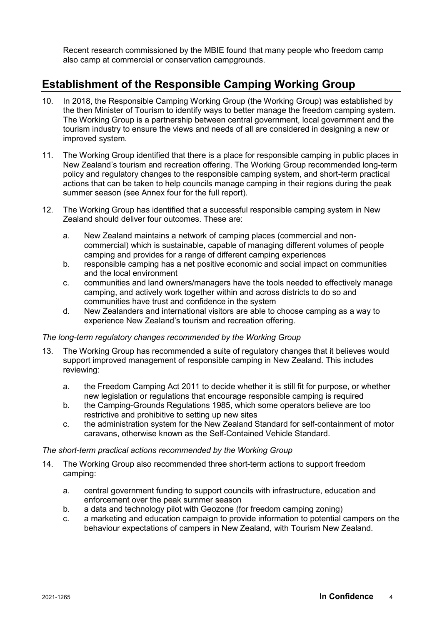Recent research commissioned by the MBIE found that many people who freedom camp also camp at commercial or conservation campgrounds.

# **Establishment of the Responsible Camping Working Group**

- 10. In 2018, the Responsible Camping Working Group (the Working Group) was established by the then Minister of Tourism to identify ways to better manage the freedom camping system. The Working Group is a partnership between central government, local government and the tourism industry to ensure the views and needs of all are considered in designing a new or improved system.
- 11. The Working Group identified that there is a place for responsible camping in public places in New Zealand's tourism and recreation offering. The Working Group recommended long-term policy and regulatory changes to the responsible camping system, and short-term practical actions that can be taken to help councils manage camping in their regions during the peak summer season (see Annex four for the full report).
- 12. The Working Group has identified that a successful responsible camping system in New Zealand should deliver four outcomes. These are:
	- a. New Zealand maintains a network of camping places (commercial and noncommercial) which is sustainable, capable of managing different volumes of people camping and provides for a range of different camping experiences
	- b. responsible camping has a net positive economic and social impact on communities and the local environment
	- c. communities and land owners/managers have the tools needed to effectively manage camping, and actively work together within and across districts to do so and communities have trust and confidence in the system
	- d. New Zealanders and international visitors are able to choose camping as a way to experience New Zealand's tourism and recreation offering.

# *The long-term regulatory changes recommended by the Working Group*

- 13. The Working Group has recommended a suite of regulatory changes that it believes would support improved management of responsible camping in New Zealand. This includes reviewing:
	- a. the Freedom Camping Act 2011 to decide whether it is still fit for purpose, or whether new legislation or regulations that encourage responsible camping is required
	- b. the Camping-Grounds Regulations 1985, which some operators believe are too restrictive and prohibitive to setting up new sites
	- c. the administration system for the New Zealand Standard for self-containment of motor caravans, otherwise known as the Self-Contained Vehicle Standard.

# *The short-term practical actions recommended by the Working Group*

- 14. The Working Group also recommended three short-term actions to support freedom camping:
	- a. central government funding to support councils with infrastructure, education and enforcement over the peak summer season
	- b. a data and technology pilot with Geozone (for freedom camping zoning)
	- c. a marketing and education campaign to provide information to potential campers on the behaviour expectations of campers in New Zealand, with Tourism New Zealand.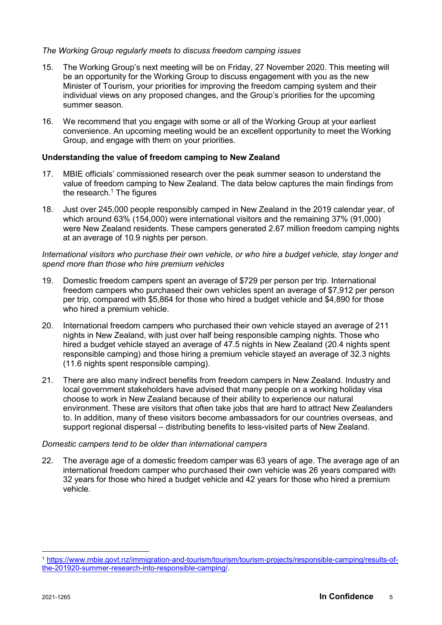# *The Working Group regularly meets to discuss freedom camping issues*

- 15. The Working Group's next meeting will be on Friday, 27 November 2020. This meeting will be an opportunity for the Working Group to discuss engagement with you as the new Minister of Tourism, your priorities for improving the freedom camping system and their individual views on any proposed changes, and the Group's priorities for the upcoming summer season.
- 16. We recommend that you engage with some or all of the Working Group at your earliest convenience. An upcoming meeting would be an excellent opportunity to meet the Working Group, and engage with them on your priorities.

#### **Understanding the value of freedom camping to New Zealand**

- 17. MBIE officials' commissioned research over the peak summer season to understand the value of freedom camping to New Zealand. The data below captures the main findings from the research. $1$  The figures
- 18. Just over 245,000 people responsibly camped in New Zealand in the 2019 calendar year, of which around 63% (154,000) were international visitors and the remaining 37% (91,000) were New Zealand residents. These campers generated 2.67 million freedom camping nights at an average of 10.9 nights per person.

### *International visitors who purchase their own vehicle, or who hire a budget vehicle, stay longer and spend more than those who hire premium vehicles*

- 19. Domestic freedom campers spent an average of \$729 per person per trip. International freedom campers who purchased their own vehicles spent an average of \$7,912 per person per trip, compared with \$5,864 for those who hired a budget vehicle and \$4,890 for those who hired a premium vehicle.
- 20. International freedom campers who purchased their own vehicle stayed an average of 211 nights in New Zealand, with just over half being responsible camping nights. Those who hired a budget vehicle stayed an average of 47.5 nights in New Zealand (20.4 nights spent responsible camping) and those hiring a premium vehicle stayed an average of 32.3 nights (11.6 nights spent responsible camping).
- 21. There are also many indirect benefits from freedom campers in New Zealand. Industry and local government stakeholders have advised that many people on a working holiday visa choose to work in New Zealand because of their ability to experience our natural environment. These are visitors that often take jobs that are hard to attract New Zealanders to. In addition, many of these visitors become ambassadors for our countries overseas, and support regional dispersal – distributing benefits to less-visited parts of New Zealand.

# *Domestic campers tend to be older than international campers*

22. The average age of a domestic freedom camper was 63 years of age. The average age of an international freedom camper who purchased their own vehicle was 26 years compared with 32 years for those who hired a budget vehicle and 42 years for those who hired a premium vehicle.

-

<sup>1</sup> https://www.mbie.govt.nz/immigration-and-tourism/tourism/tourism-projects/responsible-camping/results-ofthe-201920-summer-research-into-responsible-camping/.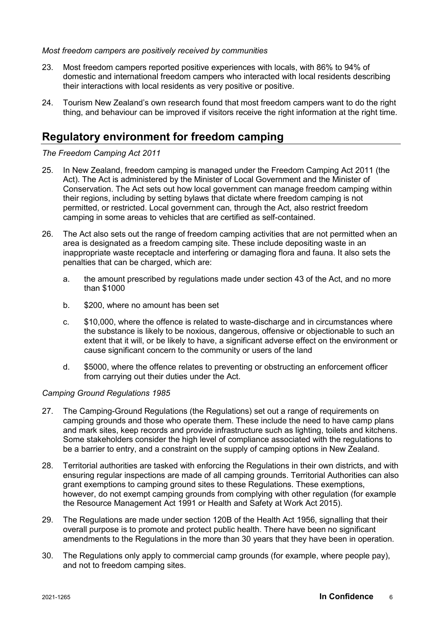#### *Most freedom campers are positively received by communities*

- 23. Most freedom campers reported positive experiences with locals, with 86% to 94% of domestic and international freedom campers who interacted with local residents describing their interactions with local residents as very positive or positive.
- 24. Tourism New Zealand's own research found that most freedom campers want to do the right thing, and behaviour can be improved if visitors receive the right information at the right time.

# **Regulatory environment for freedom camping**

*The Freedom Camping Act 2011*

- 25. In New Zealand, freedom camping is managed under the Freedom Camping Act 2011 (the Act). The Act is administered by the Minister of Local Government and the Minister of Conservation. The Act sets out how local government can manage freedom camping within their regions, including by setting bylaws that dictate where freedom camping is not permitted, or restricted. Local government can, through the Act, also restrict freedom camping in some areas to vehicles that are certified as self-contained.
- 26. The Act also sets out the range of freedom camping activities that are not permitted when an area is designated as a freedom camping site. These include depositing waste in an inappropriate waste receptacle and interfering or damaging flora and fauna. It also sets the penalties that can be charged, which are:
	- a. the amount prescribed by regulations made under section 43 of the Act, and no more than \$1000
	- b. \$200, where no amount has been set
	- c. \$10,000, where the offence is related to waste-discharge and in circumstances where the substance is likely to be noxious, dangerous, offensive or objectionable to such an extent that it will, or be likely to have, a significant adverse effect on the environment or cause significant concern to the community or users of the land
	- d. \$5000, where the offence relates to preventing or obstructing an enforcement officer from carrying out their duties under the Act.

# *Camping Ground Regulations 1985*

- 27. The Camping-Ground Regulations (the Regulations) set out a range of requirements on camping grounds and those who operate them. These include the need to have camp plans and mark sites, keep records and provide infrastructure such as lighting, toilets and kitchens. Some stakeholders consider the high level of compliance associated with the regulations to be a barrier to entry, and a constraint on the supply of camping options in New Zealand.
- 28. Territorial authorities are tasked with enforcing the Regulations in their own districts, and with ensuring regular inspections are made of all camping grounds. Territorial Authorities can also grant exemptions to camping ground sites to these Regulations. These exemptions, however, do not exempt camping grounds from complying with other regulation (for example the Resource Management Act 1991 or Health and Safety at Work Act 2015).
- 29. The Regulations are made under section 120B of the Health Act 1956, signalling that their overall purpose is to promote and protect public health. There have been no significant amendments to the Regulations in the more than 30 years that they have been in operation.
- 30. The Regulations only apply to commercial camp grounds (for example, where people pay), and not to freedom camping sites.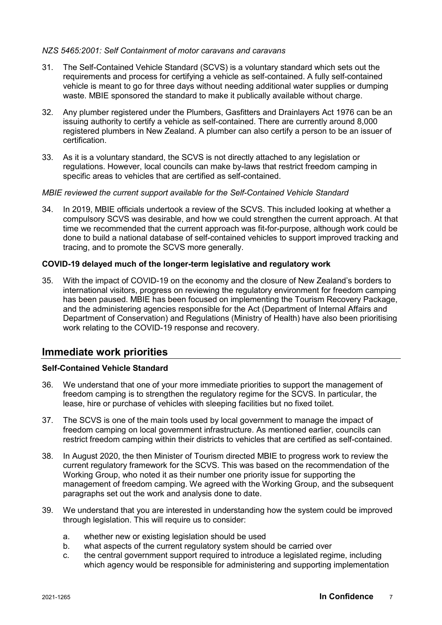# *NZS 5465:2001: Self Containment of motor caravans and caravans*

- 31. The Self-Contained Vehicle Standard (SCVS) is a voluntary standard which sets out the requirements and process for certifying a vehicle as self-contained. A fully self-contained vehicle is meant to go for three days without needing additional water supplies or dumping waste. MBIE sponsored the standard to make it publically available without charge.
- 32. Any plumber registered under the Plumbers, Gasfitters and Drainlayers Act 1976 can be an issuing authority to certify a vehicle as self-contained. There are currently around 8,000 registered plumbers in New Zealand. A plumber can also certify a person to be an issuer of certification.
- 33. As it is a voluntary standard, the SCVS is not directly attached to any legislation or regulations. However, local councils can make by-laws that restrict freedom camping in specific areas to vehicles that are certified as self-contained.

#### *MBIE reviewed the current support available for the Self-Contained Vehicle Standard*

34. In 2019, MBIE officials undertook a review of the SCVS. This included looking at whether a compulsory SCVS was desirable, and how we could strengthen the current approach. At that time we recommended that the current approach was fit-for-purpose, although work could be done to build a national database of self-contained vehicles to support improved tracking and tracing, and to promote the SCVS more generally.

# **COVID-19 delayed much of the longer-term legislative and regulatory work**

35. With the impact of COVID-19 on the economy and the closure of New Zealand's borders to international visitors, progress on reviewing the regulatory environment for freedom camping has been paused. MBIE has been focused on implementing the Tourism Recovery Package, and the administering agencies responsible for the Act (Department of Internal Affairs and Department of Conservation) and Regulations (Ministry of Health) have also been prioritising work relating to the COVID-19 response and recovery.

# **Immediate work priorities**

# **Self-Contained Vehicle Standard**

- 36. We understand that one of your more immediate priorities to support the management of freedom camping is to strengthen the regulatory regime for the SCVS. In particular, the lease, hire or purchase of vehicles with sleeping facilities but no fixed toilet.
- 37. The SCVS is one of the main tools used by local government to manage the impact of freedom camping on local government infrastructure. As mentioned earlier, councils can restrict freedom camping within their districts to vehicles that are certified as self-contained.
- 38. In August 2020, the then Minister of Tourism directed MBIE to progress work to review the current regulatory framework for the SCVS. This was based on the recommendation of the Working Group, who noted it as their number one priority issue for supporting the management of freedom camping. We agreed with the Working Group, and the subsequent paragraphs set out the work and analysis done to date.
- 39. We understand that you are interested in understanding how the system could be improved through legislation. This will require us to consider:
	- a. whether new or existing legislation should be used
	- b. what aspects of the current regulatory system should be carried over
	- c. the central government support required to introduce a legislated regime, including which agency would be responsible for administering and supporting implementation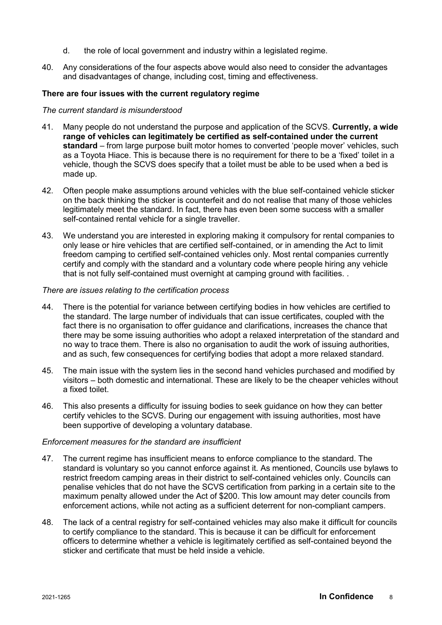- d. the role of local government and industry within a legislated regime.
- 40. Any considerations of the four aspects above would also need to consider the advantages and disadvantages of change, including cost, timing and effectiveness.

#### **There are four issues with the current regulatory regime**

#### *The current standard is misunderstood*

- 41. Many people do not understand the purpose and application of the SCVS. **Currently, a wide range of vehicles can legitimately be certified as self-contained under the current standard** – from large purpose built motor homes to converted 'people mover' vehicles, such as a Toyota Hiace. This is because there is no requirement for there to be a 'fixed' toilet in a vehicle, though the SCVS does specify that a toilet must be able to be used when a bed is made up.
- 42. Often people make assumptions around vehicles with the blue self-contained vehicle sticker on the back thinking the sticker is counterfeit and do not realise that many of those vehicles legitimately meet the standard. In fact, there has even been some success with a smaller self-contained rental vehicle for a single traveller.
- 43. We understand you are interested in exploring making it compulsory for rental companies to only lease or hire vehicles that are certified self-contained, or in amending the Act to limit freedom camping to certified self-contained vehicles only. Most rental companies currently certify and comply with the standard and a voluntary code where people hiring any vehicle that is not fully self-contained must overnight at camping ground with facilities. .

#### *There are issues relating to the certification process*

- 44. There is the potential for variance between certifying bodies in how vehicles are certified to the standard. The large number of individuals that can issue certificates, coupled with the fact there is no organisation to offer guidance and clarifications, increases the chance that there may be some issuing authorities who adopt a relaxed interpretation of the standard and no way to trace them. There is also no organisation to audit the work of issuing authorities, and as such, few consequences for certifying bodies that adopt a more relaxed standard.
- 45. The main issue with the system lies in the second hand vehicles purchased and modified by visitors – both domestic and international. These are likely to be the cheaper vehicles without a fixed toilet.
- 46. This also presents a difficulty for issuing bodies to seek guidance on how they can better certify vehicles to the SCVS. During our engagement with issuing authorities, most have been supportive of developing a voluntary database.

#### *Enforcement measures for the standard are insufficient*

- 47. The current regime has insufficient means to enforce compliance to the standard. The standard is voluntary so you cannot enforce against it. As mentioned, Councils use bylaws to restrict freedom camping areas in their district to self-contained vehicles only. Councils can penalise vehicles that do not have the SCVS certification from parking in a certain site to the maximum penalty allowed under the Act of \$200. This low amount may deter councils from enforcement actions, while not acting as a sufficient deterrent for non-compliant campers.
- 48. The lack of a central registry for self-contained vehicles may also make it difficult for councils to certify compliance to the standard. This is because it can be difficult for enforcement officers to determine whether a vehicle is legitimately certified as self-contained beyond the sticker and certificate that must be held inside a vehicle.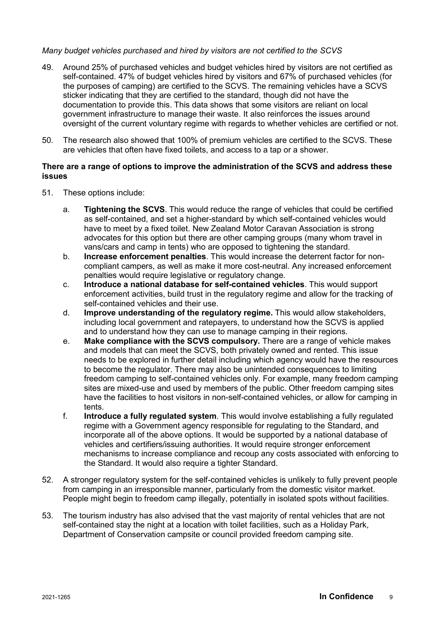# *Many budget vehicles purchased and hired by visitors are not certified to the SCVS*

- 49. Around 25% of purchased vehicles and budget vehicles hired by visitors are not certified as self-contained. 47% of budget vehicles hired by visitors and 67% of purchased vehicles (for the purposes of camping) are certified to the SCVS. The remaining vehicles have a SCVS sticker indicating that they are certified to the standard, though did not have the documentation to provide this. This data shows that some visitors are reliant on local government infrastructure to manage their waste. It also reinforces the issues around oversight of the current voluntary regime with regards to whether vehicles are certified or not.
- 50. The research also showed that 100% of premium vehicles are certified to the SCVS. These are vehicles that often have fixed toilets, and access to a tap or a shower.

#### **There are a range of options to improve the administration of the SCVS and address these issues**

- 51. These options include:
	- a. **Tightening the SCVS**. This would reduce the range of vehicles that could be certified as self-contained, and set a higher-standard by which self-contained vehicles would have to meet by a fixed toilet. New Zealand Motor Caravan Association is strong advocates for this option but there are other camping groups (many whom travel in vans/cars and camp in tents) who are opposed to tightening the standard.
	- b. **Increase enforcement penalties**. This would increase the deterrent factor for noncompliant campers, as well as make it more cost-neutral. Any increased enforcement penalties would require legislative or regulatory change.
	- c. **Introduce a national database for self-contained vehicles**. This would support enforcement activities, build trust in the regulatory regime and allow for the tracking of self-contained vehicles and their use.
	- d. **Improve understanding of the regulatory regime.** This would allow stakeholders, including local government and ratepayers, to understand how the SCVS is applied and to understand how they can use to manage camping in their regions.
	- e. **Make compliance with the SCVS compulsory.** There are a range of vehicle makes and models that can meet the SCVS, both privately owned and rented. This issue needs to be explored in further detail including which agency would have the resources to become the regulator. There may also be unintended consequences to limiting freedom camping to self-contained vehicles only. For example, many freedom camping sites are mixed-use and used by members of the public. Other freedom camping sites have the facilities to host visitors in non-self-contained vehicles, or allow for camping in tents.
	- f. **Introduce a fully regulated system**. This would involve establishing a fully regulated regime with a Government agency responsible for regulating to the Standard, and incorporate all of the above options. It would be supported by a national database of vehicles and certifiers/issuing authorities. It would require stronger enforcement mechanisms to increase compliance and recoup any costs associated with enforcing to the Standard. It would also require a tighter Standard.
- 52. A stronger regulatory system for the self-contained vehicles is unlikely to fully prevent people from camping in an irresponsible manner, particularly from the domestic visitor market. People might begin to freedom camp illegally, potentially in isolated spots without facilities.
- 53. The tourism industry has also advised that the vast majority of rental vehicles that are not self-contained stay the night at a location with toilet facilities, such as a Holiday Park, Department of Conservation campsite or council provided freedom camping site.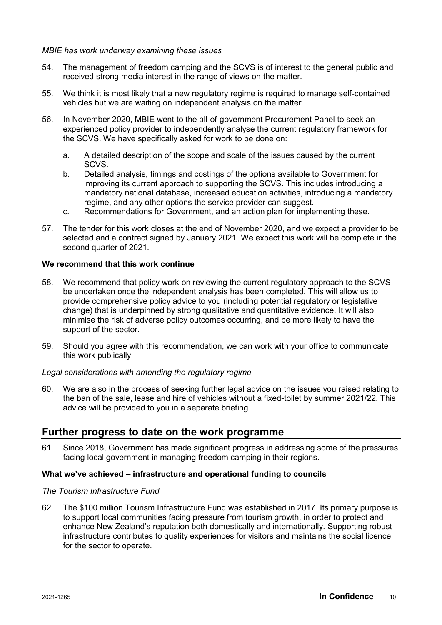#### *MBIE has work underway examining these issues*

- 54. The management of freedom camping and the SCVS is of interest to the general public and received strong media interest in the range of views on the matter.
- 55. We think it is most likely that a new regulatory regime is required to manage self-contained vehicles but we are waiting on independent analysis on the matter.
- 56. In November 2020, MBIE went to the all-of-government Procurement Panel to seek an experienced policy provider to independently analyse the current regulatory framework for the SCVS. We have specifically asked for work to be done on:
	- a. A detailed description of the scope and scale of the issues caused by the current SCVS.
	- b. Detailed analysis, timings and costings of the options available to Government for improving its current approach to supporting the SCVS. This includes introducing a mandatory national database, increased education activities, introducing a mandatory regime, and any other options the service provider can suggest.
	- c. Recommendations for Government, and an action plan for implementing these.
- 57. The tender for this work closes at the end of November 2020, and we expect a provider to be selected and a contract signed by January 2021. We expect this work will be complete in the second quarter of 2021.

# **We recommend that this work continue**

- 58. We recommend that policy work on reviewing the current regulatory approach to the SCVS be undertaken once the independent analysis has been completed. This will allow us to provide comprehensive policy advice to you (including potential regulatory or legislative change) that is underpinned by strong qualitative and quantitative evidence. It will also minimise the risk of adverse policy outcomes occurring, and be more likely to have the support of the sector.
- 59. Should you agree with this recommendation, we can work with your office to communicate this work publically.

#### *Legal considerations with amending the regulatory regime*

60. We are also in the process of seeking further legal advice on the issues you raised relating to the ban of the sale, lease and hire of vehicles without a fixed-toilet by summer 2021/22. This advice will be provided to you in a separate briefing.

# **Further progress to date on the work programme**

61. Since 2018, Government has made significant progress in addressing some of the pressures facing local government in managing freedom camping in their regions.

#### **What we've achieved – infrastructure and operational funding to councils**

#### *The Tourism Infrastructure Fund*

62. The \$100 million Tourism Infrastructure Fund was established in 2017. Its primary purpose is to support local communities facing pressure from tourism growth, in order to protect and enhance New Zealand's reputation both domestically and internationally. Supporting robust infrastructure contributes to quality experiences for visitors and maintains the social licence for the sector to operate.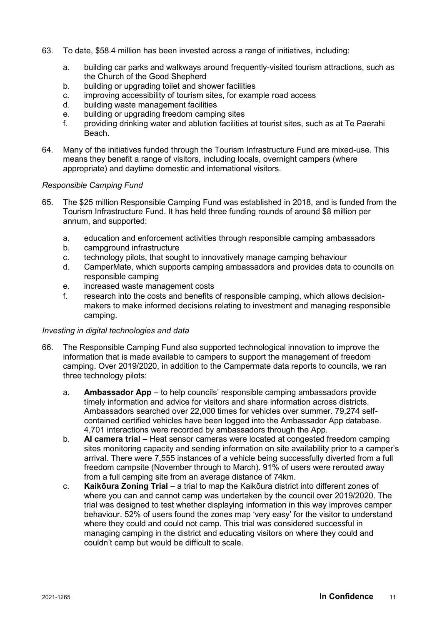- 63. To date, \$58.4 million has been invested across a range of initiatives, including:
	- a. building car parks and walkways around frequently-visited tourism attractions, such as the Church of the Good Shepherd
	- b. building or upgrading toilet and shower facilities
	- c. improving accessibility of tourism sites, for example road access<br>d building waste management facilities
	- building waste management facilities
	- e. building or upgrading freedom camping sites
	- f. providing drinking water and ablution facilities at tourist sites, such as at Te Paerahi Beach.
- 64. Many of the initiatives funded through the Tourism Infrastructure Fund are mixed-use. This means they benefit a range of visitors, including locals, overnight campers (where appropriate) and daytime domestic and international visitors.

#### *Responsible Camping Fund*

- 65. The \$25 million Responsible Camping Fund was established in 2018, and is funded from the Tourism Infrastructure Fund. It has held three funding rounds of around \$8 million per annum, and supported:
	- a. education and enforcement activities through responsible camping ambassadors
	- b. campground infrastructure
	- c. technology pilots, that sought to innovatively manage camping behaviour
	- d. CamperMate, which supports camping ambassadors and provides data to councils on responsible camping
	- e. increased waste management costs
	- f. research into the costs and benefits of responsible camping, which allows decisionmakers to make informed decisions relating to investment and managing responsible camping.

#### *Investing in digital technologies and data*

- 66. The Responsible Camping Fund also supported technological innovation to improve the information that is made available to campers to support the management of freedom camping. Over 2019/2020, in addition to the Campermate data reports to councils, we ran three technology pilots:
	- a. **Ambassador App** to help councils' responsible camping ambassadors provide timely information and advice for visitors and share information across districts. Ambassadors searched over 22,000 times for vehicles over summer. 79,274 selfcontained certified vehicles have been logged into the Ambassador App database. 4,701 interactions were recorded by ambassadors through the App.
	- b. **AI camera trial –** Heat sensor cameras were located at congested freedom camping sites monitoring capacity and sending information on site availability prior to a camper's arrival. There were 7,555 instances of a vehicle being successfully diverted from a full freedom campsite (November through to March). 91% of users were rerouted away from a full camping site from an average distance of 74km.
	- c. **Kaikōura Zoning Trial** a trial to map the Kaikōura district into different zones of where you can and cannot camp was undertaken by the council over 2019/2020. The trial was designed to test whether displaying information in this way improves camper behaviour. 52% of users found the zones map 'very easy' for the visitor to understand where they could and could not camp. This trial was considered successful in managing camping in the district and educating visitors on where they could and couldn't camp but would be difficult to scale.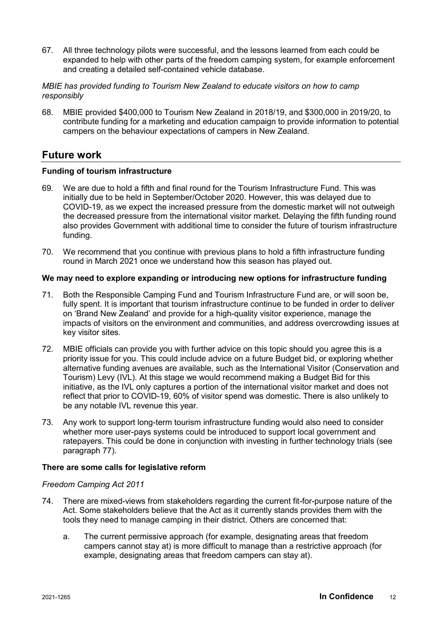67. All three technology pilots were successful, and the lessons learned from each could be expanded to help with other parts of the freedom camping system, for example enforcement and creating a detailed self-contained vehicle database.

# *MBIE has provided funding to Tourism New Zealand to educate visitors on how to camp responsibly*

68. MBIE provided \$400,000 to Tourism New Zealand in 2018/19, and \$300,000 in 2019/20, to contribute funding for a marketing and education campaign to provide information to potential campers on the behaviour expectations of campers in New Zealand.

# **Future work**

# **Funding of tourism infrastructure**

- 69. We are due to hold a fifth and final round for the Tourism Infrastructure Fund. This was initially due to be held in September/October 2020. However, this was delayed due to COVID-19, as we expect the increased pressure from the domestic market will not outweigh the decreased pressure from the international visitor market. Delaying the fifth funding round also provides Government with additional time to consider the future of tourism infrastructure funding.
- 70. We recommend that you continue with previous plans to hold a fifth infrastructure funding round in March 2021 once we understand how this season has played out.

# **We may need to explore expanding or introducing new options for infrastructure funding**

- 71. Both the Responsible Camping Fund and Tourism Infrastructure Fund are, or will soon be, fully spent. It is important that tourism infrastructure continue to be funded in order to deliver on 'Brand New Zealand' and provide for a high-quality visitor experience, manage the impacts of visitors on the environment and communities, and address overcrowding issues at key visitor sites.
- 72. MBIE officials can provide you with further advice on this topic should you agree this is a priority issue for you. This could include advice on a future Budget bid, or exploring whether alternative funding avenues are available, such as the International Visitor (Conservation and Tourism) Levy (IVL). At this stage we would recommend making a Budget Bid for this initiative, as the IVL only captures a portion of the international visitor market and does not reflect that prior to COVID-19, 60% of visitor spend was domestic. There is also unlikely to be any notable IVL revenue this year.
- 73. Any work to support long-term tourism infrastructure funding would also need to consider whether more user-pays systems could be introduced to support local government and ratepayers. This could be done in conjunction with investing in further technology trials (see paragraph 77).

# **There are some calls for legislative reform**

# *Freedom Camping Act 2011*

- 74. There are mixed-views from stakeholders regarding the current fit-for-purpose nature of the Act. Some stakeholders believe that the Act as it currently stands provides them with the tools they need to manage camping in their district. Others are concerned that:
	- a. The current permissive approach (for example, designating areas that freedom campers cannot stay at) is more difficult to manage than a restrictive approach (for example, designating areas that freedom campers can stay at).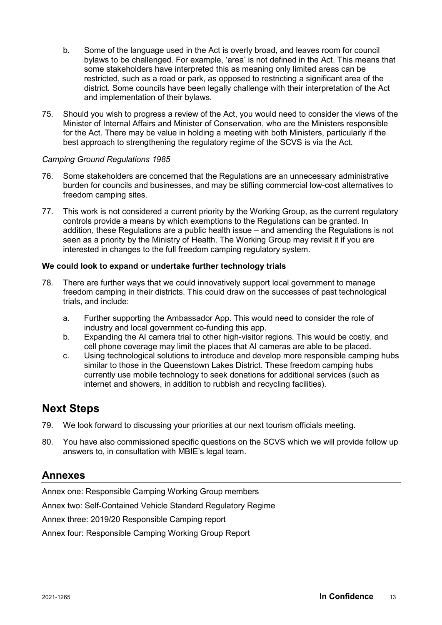- b. Some of the language used in the Act is overly broad, and leaves room for council bylaws to be challenged. For example, 'area' is not defined in the Act. This means that some stakeholders have interpreted this as meaning only limited areas can be restricted, such as a road or park, as opposed to restricting a significant area of the district. Some councils have been legally challenge with their interpretation of the Act and implementation of their bylaws.
- 75. Should you wish to progress a review of the Act, you would need to consider the views of the Minister of Internal Affairs and Minister of Conservation, who are the Ministers responsible for the Act. There may be value in holding a meeting with both Ministers, particularly if the best approach to strengthening the regulatory regime of the SCVS is via the Act.

#### *Camping Ground Regulations 1985*

- 76. Some stakeholders are concerned that the Regulations are an unnecessary administrative burden for councils and businesses, and may be stifling commercial low-cost alternatives to freedom camping sites.
- 77. This work is not considered a current priority by the Working Group, as the current regulatory controls provide a means by which exemptions to the Regulations can be granted. In addition, these Regulations are a public health issue – and amending the Regulations is not seen as a priority by the Ministry of Health. The Working Group may revisit it if you are interested in changes to the full freedom camping regulatory system.

#### **We could look to expand or undertake further technology trials**

- 78. There are further ways that we could innovatively support local government to manage freedom camping in their districts. This could draw on the successes of past technological trials, and include:
	- a. Further supporting the Ambassador App. This would need to consider the role of industry and local government co-funding this app.
	- b. Expanding the AI camera trial to other high-visitor regions. This would be costly, and cell phone coverage may limit the places that AI cameras are able to be placed.
	- c. Using technological solutions to introduce and develop more responsible camping hubs similar to those in the Queenstown Lakes District. These freedom camping hubs currently use mobile technology to seek donations for additional services (such as internet and showers, in addition to rubbish and recycling facilities).

# **Next Steps**

- 79. We look forward to discussing your priorities at our next tourism officials meeting.
- 80. You have also commissioned specific questions on the SCVS which we will provide follow up answers to, in consultation with MBIE's legal team.

# **Annexes**

Annex one: Responsible Camping Working Group members

Annex two: Self-Contained Vehicle Standard Regulatory Regime

Annex three: 2019/20 Responsible Camping report

Annex four: Responsible Camping Working Group Report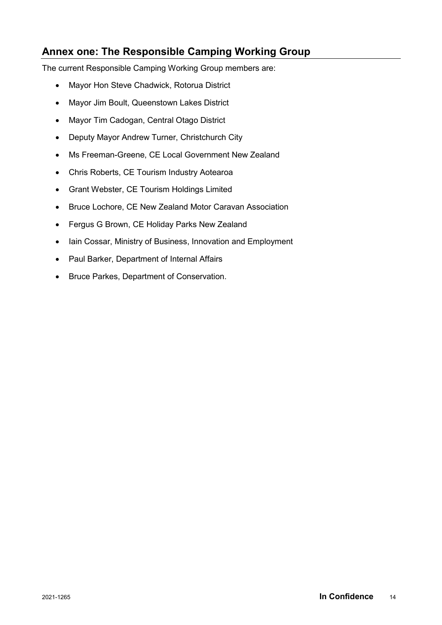# **Annex one: The Responsible Camping Working Group**

The current Responsible Camping Working Group members are:

- Mayor Hon Steve Chadwick, Rotorua District
- Mayor Jim Boult, Queenstown Lakes District
- Mayor Tim Cadogan, Central Otago District
- Deputy Mayor Andrew Turner, Christchurch City
- Ms Freeman-Greene, CE Local Government New Zealand
- Chris Roberts, CE Tourism Industry Aotearoa
- Grant Webster, CE Tourism Holdings Limited
- Bruce Lochore, CE New Zealand Motor Caravan Association
- Fergus G Brown, CE Holiday Parks New Zealand
- Iain Cossar, Ministry of Business, Innovation and Employment
- Paul Barker, Department of Internal Affairs
- Bruce Parkes, Department of Conservation.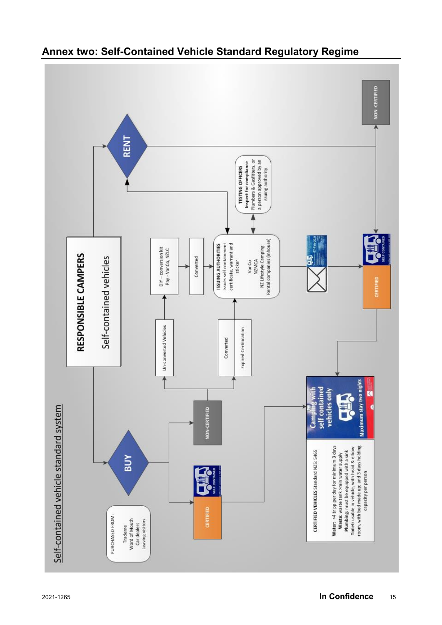

# **Annex two: Self-Contained Vehicle Standard Regulatory Regime**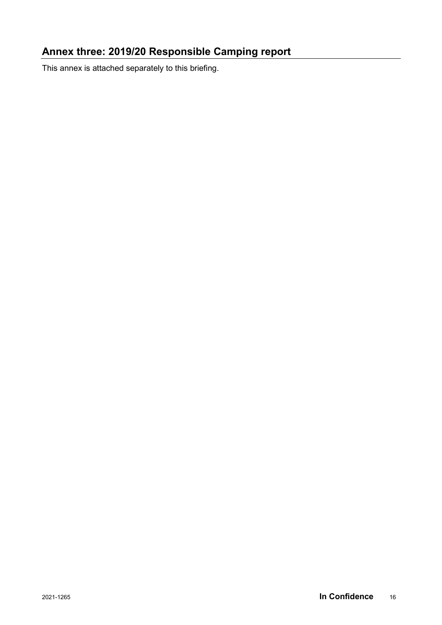# **Annex three: 2019/20 Responsible Camping report**

This annex is attached separately to this briefing.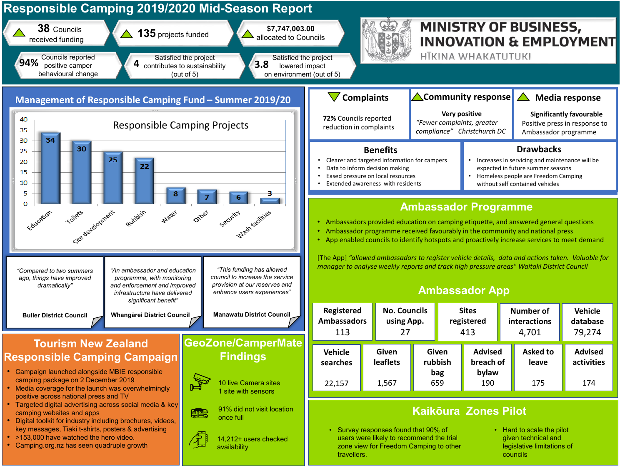